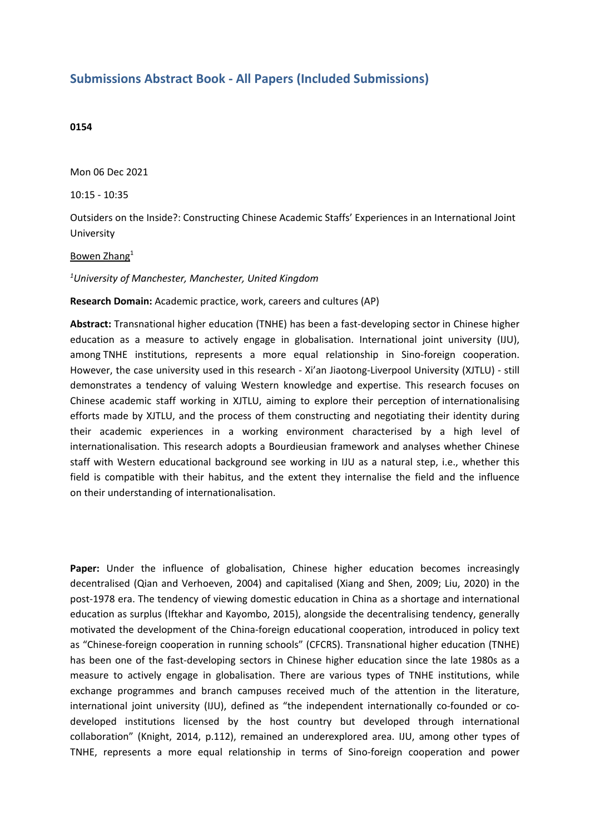## **Submissions Abstract Book - All Papers (Included Submissions)**

## **0154**

Mon 06 Dec 2021

10:15 - 10:35

Outsiders on the Inside?: Constructing Chinese Academic Staffs' Experiences in an International Joint University

## Bowen Zhang<sup>1</sup>

*1 University of Manchester, Manchester, United Kingdom*

**Research Domain:** Academic practice, work, careers and cultures (AP)

**Abstract:** Transnational higher education (TNHE) has been <sup>a</sup> fast-developing sector in Chinese higher education as <sup>a</sup> measure to actively engage in globalisation. International joint university (IJU), among TNHE institutions, represents <sup>a</sup> more equal relationship in Sino-foreign cooperation. However, the case university used in this research - Xi'an Jiaotong-Liverpool University (XJTLU) - still demonstrates <sup>a</sup> tendency of valuing Western knowledge and expertise. This research focuses on Chinese academic staff working in XJTLU, aiming to explore their perception of internationalising efforts made by XJTLU, and the process of them constructing and negotiating their identity during their academic experiences in <sup>a</sup> working environment characterised by <sup>a</sup> high level of internationalisation. This research adopts <sup>a</sup> Bourdieusian framework and analyses whether Chinese staff with Western educational background see working in IJU as <sup>a</sup> natural step, i.e., whether this field is compatible with their habitus, and the extent they internalise the field and the influence on their understanding of internationalisation.

**Paper:** Under the influence of globalisation, Chinese higher education becomes increasingly decentralised (Qian and Verhoeven, 2004) and capitalised (Xiang and Shen, 2009; Liu, 2020) in the post-1978 era. The tendency of viewing domestic education in China as <sup>a</sup> shortage and international education as surplus (Iftekhar and Kayombo, 2015), alongside the decentralising tendency, generally motivated the development of the China-foreign educational cooperation, introduced in policy text as "Chinese-foreign cooperation in running schools" (CFCRS). Transnational higher education (TNHE) has been one of the fast-developing sectors in Chinese higher education since the late 1980s as <sup>a</sup> measure to actively engage in globalisation. There are various types of TNHE institutions, while exchange programmes and branch campuses received much of the attention in the literature, international joint university (IJU), defined as "the independent internationally co-founded or codeveloped institutions licensed by the host country but developed through international collaboration" (Knight, 2014, p.112), remained an underexplored area. IJU, among other types of TNHE, represents <sup>a</sup> more equal relationship in terms of Sino-foreign cooperation and power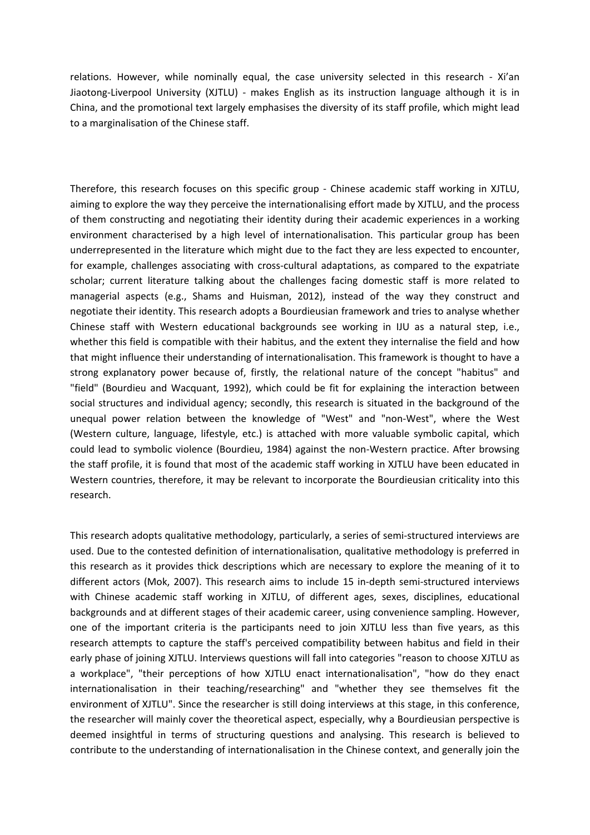relations. However, while nominally equal, the case university selected in this research - Xi'an Jiaotong-Liverpool University (XJTLU) - makes English as its instruction language although it is in China, and the promotional text largely emphasises the diversity of its staff profile, which might lead to <sup>a</sup> marginalisation of the Chinese staff.

Therefore, this research focuses on this specific group - Chinese academic staff working in XJTLU, aiming to explore the way they perceive the internationalising effort made by XJTLU, and the process of them constructing and negotiating their identity during their academic experiences in <sup>a</sup> working environment characterised by <sup>a</sup> high level of internationalisation. This particular group has been underrepresented in the literature which might due to the fact they are less expected to encounter, for example, challenges associating with cross-cultural adaptations, as compared to the expatriate scholar; current literature talking about the challenges facing domestic staff is more related to managerial aspects (e.g., Shams and Huisman, 2012), instead of the way they construct and negotiate their identity. This research adopts <sup>a</sup> Bourdieusian framework and tries to analyse whether Chinese staff with Western educational backgrounds see working in IJU as <sup>a</sup> natural step, i.e., whether this field is compatible with their habitus, and the extent they internalise the field and how that might influence their understanding of internationalisation. This framework is thought to have <sup>a</sup> strong explanatory power because of, firstly, the relational nature of the concept "habitus" and "field" (Bourdieu and Wacquant, 1992), which could be fit for explaining the interaction between social structures and individual agency; secondly, this research is situated in the background of the unequal power relation between the knowledge of "West" and "non-West", where the West (Western culture, language, lifestyle, etc.) is attached with more valuable symbolic capital, which could lead to symbolic violence (Bourdieu, 1984) against the non-Western practice. After browsing the staff profile, it is found that most of the academic staff working in XJTLU have been educated in Western countries, therefore, it may be relevant to incorporate the Bourdieusian criticality into this research.

This research adopts qualitative methodology, particularly, <sup>a</sup> series of semi-structured interviews are used. Due to the contested definition of internationalisation, qualitative methodology is preferred in this research as it provides thick descriptions which are necessary to explore the meaning of it to different actors (Mok, 2007). This research aims to include 15 in-depth semi-structured interviews with Chinese academic staff working in XJTLU, of different ages, sexes, disciplines, educational backgrounds and at different stages of their academic career, using convenience sampling. However, one of the important criteria is the participants need to join XJTLU less than five years, as this research attempts to capture the staff's perceived compatibility between habitus and field in their early phase of joining XJTLU. Interviews questions will fall into categories "reason to choose XJTLU as <sup>a</sup> workplace", "their perceptions of how XJTLU enact internationalisation", "how do they enact internationalisation in their teaching/researching" and "whether they see themselves fit the environment of XJTLU". Since the researcher is still doing interviews at this stage, in this conference, the researcher will mainly cover the theoretical aspect, especially, why <sup>a</sup> Bourdieusian perspective is deemed insightful in terms of structuring questions and analysing. This research is believed to contribute to the understanding of internationalisation in the Chinese context, and generally join the